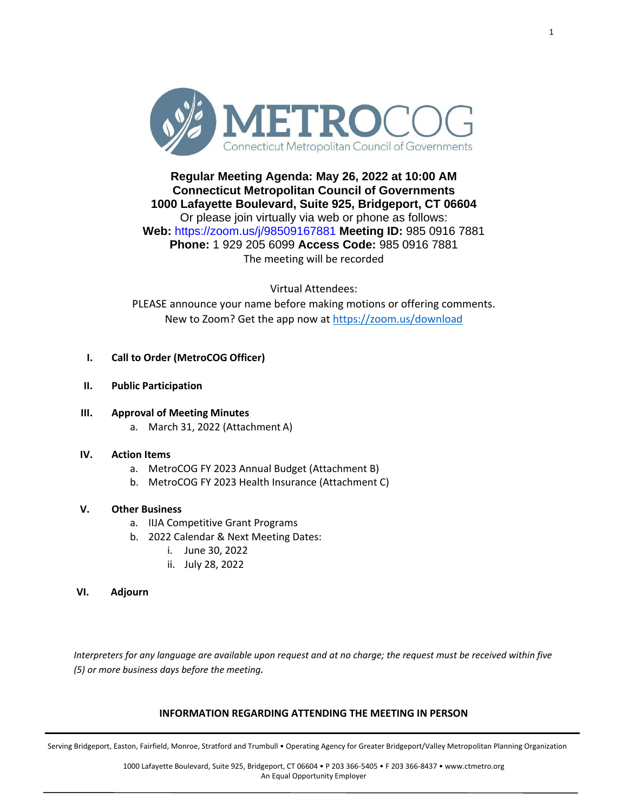

# **Regular Meeting Agenda: May 26, 2022 at 10:00 AM Connecticut Metropolitan Council of Governments 1000 Lafayette Boulevard, Suite 925, Bridgeport, CT 06604** Or please join virtually via web or phone as follows: **Web:** https://zoom.us/j/98509167881 **Meeting ID:** 985 0916 7881 **Phone:** 1 929 205 6099 **Access Code:** 985 0916 7881 The meeting will be recorded

Virtual Attendees: PLEASE announce your name before making motions or offering comments. New to Zoom? Get the app now a[t https://zoom.us/download](https://zoom.us/download)

## **I. Call to Order (MetroCOG Officer)**

- **II. Public Participation**
- **III. Approval of Meeting Minutes** a. March 31, 2022 (Attachment A)

### **IV. Action Items**

- a. MetroCOG FY 2023 Annual Budget (Attachment B)
- b. MetroCOG FY 2023 Health Insurance (Attachment C)

### **V. Other Business**

- a. IIJA Competitive Grant Programs
- b. 2022 Calendar & Next Meeting Dates:
	- i. June 30, 2022
	- ii. July 28, 2022

### **VI. Adjourn**

*Interpreters for any language are available upon request and at no charge; the request must be received within five (5) or more business days before the meeting.*

#### **INFORMATION REGARDING ATTENDING THE MEETING IN PERSON**

Serving Bridgeport, Easton, Fairfield, Monroe, Stratford and Trumbull • Operating Agency for Greater Bridgeport/Valley Metropolitan Planning Organization

1000 Lafayette Boulevard, Suite 925, Bridgeport, CT 06604 • P 203 366-5405 • F 203 366-8437 • [www.ctmetro.org](http://www.ctmetro.org/) An Equal Opportunity Employer